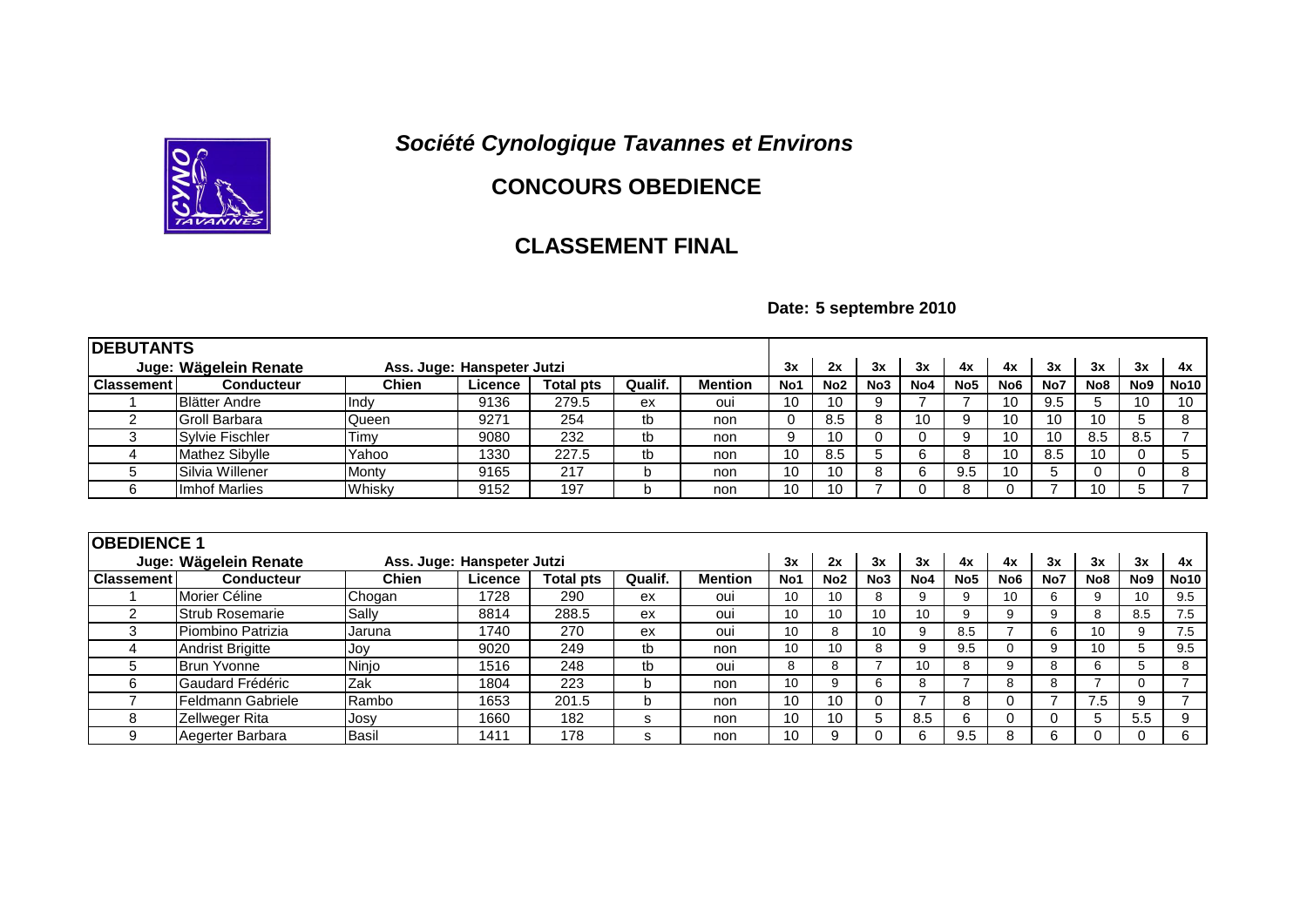## *Société Cynologique Tavannes et Environs*



## **CONCOURS OBEDIENCE**

## **CLASSEMENT FINAL**

**Date: 5 septembre 2010**

| <b>IDEBUTANTS</b>                                   |                          |              |         |                  |         |                |                  |                 |                 |                 |                 |                 |     |                 |                 |                |
|-----------------------------------------------------|--------------------------|--------------|---------|------------------|---------|----------------|------------------|-----------------|-----------------|-----------------|-----------------|-----------------|-----|-----------------|-----------------|----------------|
| Juge: Wägelein Renate<br>Ass. Juge: Hanspeter Jutzi |                          |              |         |                  |         | 3x             | 2x               | 3x              | 3x              | 4x              | 4x              | 3x              | 3x  | 3x              | 4x              |                |
| <b>Classement</b>                                   | <b>Conducteur</b>        | <b>Chien</b> | Licence | <b>Total pts</b> | Qualif. | <b>Mention</b> | No <sub>1</sub>  | No <sub>2</sub> | No <sub>3</sub> | No <sub>4</sub> | No <sub>5</sub> | No <sub>6</sub> | No7 | No <sub>8</sub> | No <sub>9</sub> | <b>No10</b>    |
|                                                     | <b>Blätter Andre</b>     | Indv         | 9136    | 279.5            | ex      | oui            | 10               | 10              | 9               |                 |                 | 10              | 9.5 | 5               | 10              | 10             |
| 2                                                   | Groll Barbara            | Queen        | 9271    | 254              | tb      | non            | 0                | 8.5             | 8               | 10              | 9               | 10              | 10  | 10              | 5               | 8              |
| 3                                                   | Sylvie Fischler          | Timy         | 9080    | 232              | tb      | non            | 9                | 10              | 0               | 0               | 9               | 10              | 10  | 8.5             | 8.5             | $\overline{7}$ |
| 4                                                   | <b>Mathez Sibylle</b>    | Yahoo        | 1330    | 227.5            | tb      | non            | 10               | 8.5             | 5               | 6               | 8               | 10              | 8.5 | 10              | 0               | 5              |
| 5                                                   | Silvia Willener          | Monty        | 9165    | 217              | b       | non            | 10               | 10              | 8               | 6               | 9.5             | 10              | 5   | 0               | $\Omega$        | 8              |
| 6                                                   | Imhof Marlies            | Whisky       | 9152    | 197              | b       | non            | 10               | 10              |                 | 0               | 8               | 0               |     | 10              | 5               | $\overline{7}$ |
| <b>OBEDIENCE 1</b><br>Ass. Juge: Hanspeter Jutzi    |                          |              |         |                  |         |                |                  |                 |                 |                 |                 |                 |     |                 |                 |                |
|                                                     | Juge: Wägelein Renate    |              |         |                  |         |                | 3x               | 2x              | 3x              | 3x              | 4x              | 4x              | 3x  | 3x              | 3x              | 4x             |
| <b>Classement</b>                                   | <b>Conducteur</b>        | <b>Chien</b> | Licence | <b>Total pts</b> | Qualif. | <b>Mention</b> | No1              | No <sub>2</sub> | No <sub>3</sub> | No4             | No <sub>5</sub> | No <sub>6</sub> | No7 | No <sub>8</sub> | No9             | <b>No10</b>    |
|                                                     | Morier Céline            | Chogan       | 1728    | 290              | ex      | oui            | 10 <sup>1</sup>  | 10              | 8               | 9               | 9               | 10              | 6   | 9               | 10              | 9.5            |
| 2                                                   | <b>Strub Rosemarie</b>   | Sally        | 8814    | 288.5            | ex      | oui            | 10               | 10              | 10              | 10              | 9               | 9               | 9   | 8               | 8.5             | 7.5            |
| 3                                                   | Piombino Patrizia        | Jaruna       | 1740    | 270              | ex      | oui            | 10               | 8               | 10              | 9               | 8.5             |                 | 6   | 10              | 9               | 7.5            |
| 4                                                   | <b>Andrist Brigitte</b>  | Joy          | 9020    | 249              | tb      | non            | 10               | 10              | 8               | 9               | 9.5             | $\Omega$        | 9   | 10              | 5               | 9.5            |
| 5                                                   | <b>Brun Yvonne</b>       | Ninjo        | 1516    | 248              | tb      | oui            | 8                | 8               |                 | 10              | 8               | 9               | 8   | 6               | 5               | 8              |
| 6                                                   | Gaudard Frédéric         | Zak          | 1804    | 223              | b       | non            | 10 <sup>10</sup> | 9               | 6               | 8               |                 | 8               | 8   |                 | $\Omega$        | $\overline{7}$ |
| $\overline{\phantom{a}}$                            | <b>Feldmann Gabriele</b> | Rambo        | 1653    | 201.5            | b       | non            | 10               | 10              | 0               | ⇁               | 8               | $\Omega$        | ⇁   | 7.5             | 9               | $\overline{7}$ |
| 8                                                   | Zellweger Rita           | Josy         | 1660    | 182              | s       | non            | 10               | 10              | 5               | 8.5             | 6               | $\Omega$        | 0   | 5               | 5.5             | 9              |